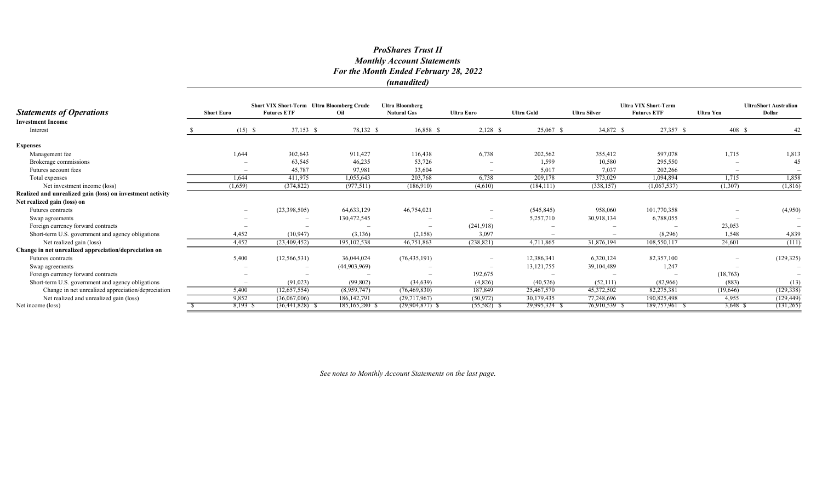|                                                            |                   | Short VIX Short-Term Ultra Bloomberg Crude |                     |                | <b>Ultra Bloomberg</b>   |                          |                   | <b>Ultra VIX Short-Term</b> |                    | <b>UltraShort Australian</b> |                          |
|------------------------------------------------------------|-------------------|--------------------------------------------|---------------------|----------------|--------------------------|--------------------------|-------------------|-----------------------------|--------------------|------------------------------|--------------------------|
| <b>Statements of Operations</b>                            | <b>Short Euro</b> |                                            | <b>Futures ETF</b>  | Oil            | <b>Natural Gas</b>       | <b>Ultra Euro</b>        | <b>Ultra Gold</b> | <b>Ultra Silver</b>         | <b>Futures ETF</b> | <b>Ultra Yen</b>             | Dollar                   |
| <b>Investment Income</b>                                   |                   |                                            |                     |                |                          |                          |                   |                             |                    |                              |                          |
| Interest                                                   |                   | $(15)$ \$                                  | $37,153$ \$         | 78,132 \$      | 16,858 \$                | $2,128$ \$               | 25,067 \$         | 34,872 \$                   | 27,357 \$          | 408 \$                       | 42                       |
| <b>Expenses</b>                                            |                   |                                            |                     |                |                          |                          |                   |                             |                    |                              |                          |
| Management fee                                             |                   | 1,644                                      | 302,643             | 911,427        | 116,438                  | 6,738                    | 202,562           | 355,412                     | 597,078            | 1,715                        | 1,813                    |
| Brokerage commissions                                      |                   |                                            | 63,545              | 46,235         | 53,726                   |                          | 1,599             | 10,580                      | 295,550            |                              | 45                       |
| Futures account fees                                       |                   |                                            | 45,787              | 97,981         | 33,604                   |                          | 5,017             | 7,037                       | 202,266            |                              |                          |
| Total expenses                                             |                   | 1,644                                      | 411,975             | 1,055,643      | 203,768                  | 6,738                    | 209,178           | 373,029                     | 1,094,894          | 1,715                        | 1,858                    |
| Net investment income (loss)                               |                   | (1,659)                                    | (374, 822)          | (977, 511)     | (186,910)                | (4,610)                  | (184, 111)        | (338, 157)                  | (1,067,537)        | (1,307)                      | (1,816)                  |
| Realized and unrealized gain (loss) on investment activity |                   |                                            |                     |                |                          |                          |                   |                             |                    |                              |                          |
| Net realized gain (loss) on                                |                   |                                            |                     |                |                          |                          |                   |                             |                    |                              |                          |
| <b>Futures</b> contracts                                   |                   |                                            | (23,398,505)        | 64, 633, 129   | 46,754,021               |                          | (545, 845)        | 958,060                     | 101,770,358        |                              | (4,950)                  |
| Swap agreements                                            |                   |                                            |                     | 130,472,545    |                          | $\overline{\phantom{a}}$ | 5,257,710         | 30,918,134                  | 6,788,055          |                              |                          |
| Foreign currency forward contracts                         |                   |                                            |                     |                | $\overline{\phantom{a}}$ | (241,918)                |                   |                             |                    | 23,053                       |                          |
| Short-term U.S. government and agency obligations          |                   | 4,452                                      | (10, 947)           | (3,136)        | (2,158)                  | 3,097                    |                   |                             | (8,296)            | 1,548                        | 4,839                    |
| Net realized gain (loss)                                   |                   | 4,452                                      | (23, 409, 452)      | 195, 102, 538  | 46,751,863               | (238, 821)               | 4,711,865         | 31,876,194                  | 108,550,117        | 24,601                       | (111)                    |
| Change in net unrealized appreciation/depreciation on      |                   |                                            |                     |                |                          |                          |                   |                             |                    |                              |                          |
| Futures contracts                                          |                   | 5,400                                      | (12, 566, 531)      | 36,044,024     | (76, 435, 191)           |                          | 12,386,341        | 6,320,124                   | 82,357,100         |                              | (129, 325)               |
| Swap agreements                                            |                   |                                            |                     | (44,903,969)   |                          | $\overline{\phantom{a}}$ | 13, 121, 755      | 39, 104, 489                | 1,247              |                              |                          |
| Foreign currency forward contracts                         |                   |                                            |                     |                | $\overline{\phantom{a}}$ | 192,675                  |                   |                             |                    | (18,763)                     | $\overline{\phantom{a}}$ |
| Short-term U.S. government and agency obligations          |                   |                                            | (91, 023)           | (99, 802)      | (34, 639)                | (4,826)                  | (40, 526)         | (52,111)                    | (82,966)           | (883)                        | (13)                     |
| Change in net unrealized appreciation/depreciation         |                   | 5,400                                      | (12,657,554)        | (8,959,747)    | (76, 469, 830)           | 187,849                  | 25,467,570        | 45,372,502                  | 82,275,381         | (19,646)                     | (129, 338)               |
| Net realized and unrealized gain (loss)                    |                   | 9,852                                      | (36,067,006)        | 186, 142, 791  | (29,717,967)             | (50, 972)                | 30,179,435        | 77,248,696                  | 190,825,498        | 4,955                        | (129, 449)               |
| Net income (loss)                                          |                   | 8,193 \$                                   | $(36, 441, 828)$ \$ | 185,165,280 \$ | $(29,904,877)$ \$        | $(55,582)$ \$            | 29,995,324 \$     | 76,910,539 \$               | 189,757,961 \$     | 3,648 S                      | (131,265)                |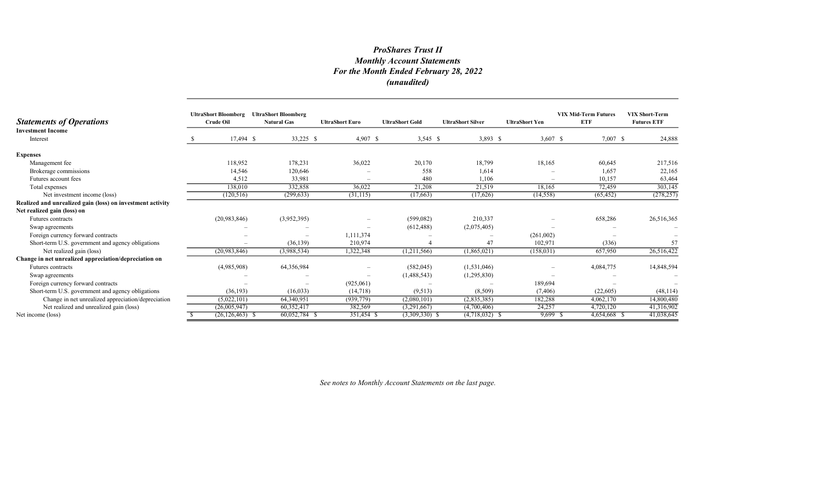| <b>Statements of Operations</b>                            | <b>UltraShort Bloomberg</b><br><b>Crude Oil</b> | <b>UltraShort Bloomberg</b><br><b>Natural Gas</b> | <b>UltraShort Euro</b> | <b>UltraShort Gold</b> | <b>UltraShort Silver</b> | <b>UltraShort Yen</b>    | <b>VIX Mid-Term Futures</b><br><b>ETF</b> | <b>VIX Short-Term</b><br><b>Futures ETF</b> |
|------------------------------------------------------------|-------------------------------------------------|---------------------------------------------------|------------------------|------------------------|--------------------------|--------------------------|-------------------------------------------|---------------------------------------------|
| <b>Investment Income</b><br>Interest                       | $17,494$ \$                                     | 33,225 \$                                         | $4,907$ \$             | $3,545$ \$             | $3,893$ \$               | $3,607$ \$               | 7,007 \$                                  | 24,888                                      |
| <b>Expenses</b>                                            |                                                 |                                                   |                        |                        |                          |                          |                                           |                                             |
| Management fee                                             | 118,952                                         | 178,231                                           | 36,022                 | 20,170                 | 18,799                   | 18,165                   | 60.645                                    | 217,516                                     |
| Brokerage commissions                                      | 14,546                                          | 120,646                                           |                        | 558                    | 1,614                    |                          | 1,657                                     | 22,165                                      |
| Futures account fees                                       | 4,512                                           | 33,981                                            |                        | 480                    | 1,106                    | $\overline{\phantom{a}}$ | 10,157                                    | 63,464                                      |
| Total expenses                                             | 138,010                                         | 332,858                                           | 36,022                 | 21,208                 | 21.519                   | 18,165                   | 72,459                                    | 303,145                                     |
| Net investment income (loss)                               | (120, 516)                                      | (299, 633)                                        | (31, 115)              | (17,663)               | (17,626)                 | (14, 558)                | (65, 452)                                 | (278, 257)                                  |
| Realized and unrealized gain (loss) on investment activity |                                                 |                                                   |                        |                        |                          |                          |                                           |                                             |
| Net realized gain (loss) on                                |                                                 |                                                   |                        |                        |                          |                          |                                           |                                             |
| Futures contracts                                          | (20,983,846)                                    | (3,952,395)                                       |                        | (599,082)              | 210,337                  |                          | 658,286                                   | 26,516,365                                  |
| Swap agreements                                            |                                                 |                                                   |                        | (612, 488)             | (2,075,405)              |                          |                                           |                                             |
| Foreign currency forward contracts                         |                                                 |                                                   | 1,111,374              |                        |                          | (261,002)                |                                           |                                             |
| Short-term U.S. government and agency obligations          |                                                 | (36, 139)                                         | 210,974                |                        | 47                       | 102,971                  | (336)                                     | 57                                          |
| Net realized gain (loss)                                   | (20,983,846)                                    | (3,988,534)                                       | 1,322,348              | (1,211,566)            | (1,865,021)              | (158, 031)               | 657,950                                   | 26,516,422                                  |
| Change in net unrealized appreciation/depreciation on      |                                                 |                                                   |                        |                        |                          |                          |                                           |                                             |
| Futures contracts                                          | (4,985,908)                                     | 64,356,984                                        |                        | (582, 045)             | (1,531,046)              |                          | 4,084,775                                 | 14,848,594                                  |
| Swap agreements                                            |                                                 |                                                   |                        | (1,488,543)            | (1,295,830)              |                          |                                           |                                             |
| Foreign currency forward contracts                         |                                                 |                                                   | (925,061)              |                        |                          | 189,694                  |                                           |                                             |
| Short-term U.S. government and agency obligations          | (36, 193)                                       | (16,033)                                          | (14,718)               | (9,513)                | (8,509)                  | (7, 406)                 | (22,605)                                  | (48, 114)                                   |
| Change in net unrealized appreciation/depreciation         | (5,022,101)                                     | 64,340,951                                        | (939, 779)             | (2,080,101)            | (2,835,385)              | 182,288                  | 4,062,170                                 | 14,800,480                                  |
| Net realized and unrealized gain (loss)                    | (26,005,947)                                    | 60,352,417                                        | 382,569                | (3,291,667)            | (4,700,406)              | 24,257                   | 4,720,120                                 | 41,316,902                                  |
| Net income (loss)                                          | $(26, 126, 463)$ \$                             | $60,052,784$ \$                                   | $351,454$ \$           | $(3,309,330)$ \$       | $(4,718,032)$ \$         | 9,699                    | 4,654,668 \$                              | 41,038,645                                  |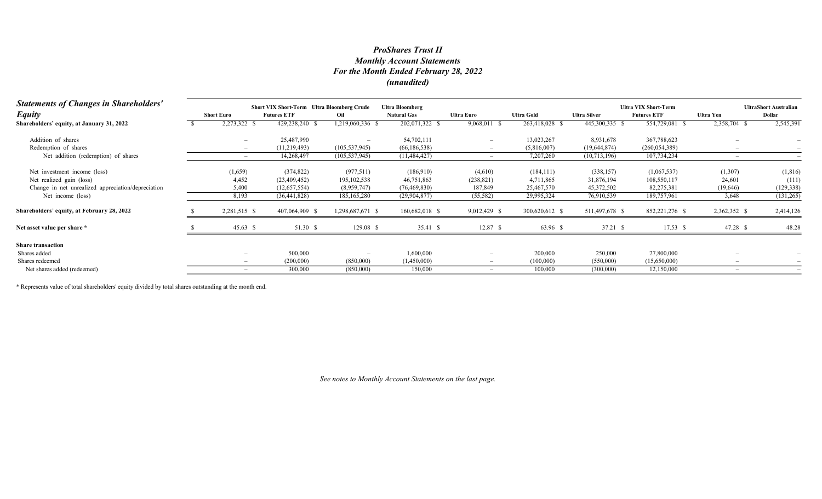| <b>Statements of Changes in Shareholders'</b>      |                          | <b>Short VIX Short-Term</b> Ultra Bloomberg Crude |                          | <b>Ultra Bloomberg</b> |                          |                   |                     | <b>Ultra VIX Short-Term</b> | <b>UltraShort Australian</b> |            |
|----------------------------------------------------|--------------------------|---------------------------------------------------|--------------------------|------------------------|--------------------------|-------------------|---------------------|-----------------------------|------------------------------|------------|
| <b>Equity</b>                                      | <b>Short Euro</b>        | <b>Futures ETF</b>                                | Oil                      | <b>Natural Gas</b>     | Ultra Euro               | <b>Ultra Gold</b> | <b>Ultra Silver</b> | <b>Futures ETF</b>          | Ultra Yen                    | Dollar     |
| Shareholders' equity, at January 31, 2022          | 2,273,322 \$             | 429,238,240 \$                                    | 1,219,060,336 \$         | 202,071,322 \$         | 9,068,011 \$             | 263,418,028 \$    | 445,300,335 \$      | 554,729,081 \$              | 2,358,704 \$                 | 2,545,391  |
| Addition of shares                                 |                          | 25,487,990                                        | $\overline{\phantom{0}}$ | 54,702,111             | $\overline{\phantom{0}}$ | 13,023,267        | 8,931,678           | 367,788,623                 |                              |            |
| Redemption of shares                               |                          | (11,219,493)                                      | (105, 537, 945)          | (66, 186, 538)         |                          | (5,816,007)       | (19,644,874)        | (260, 054, 389)             |                              |            |
| Net addition (redemption) of shares                |                          | 14,268,497                                        | (105, 537, 945)          | (11, 484, 427)         |                          | 7,207,260         | (10,713,196)        | 107,734,234                 |                              |            |
| Net investment income (loss)                       | (1,659)                  | (374, 822)                                        | (977, 511)               | (186,910)              | (4,610)                  | (184, 111)        | (338, 157)          | (1,067,537)                 | (1,307)                      | (1,816)    |
| Net realized gain (loss)                           | 4,452                    | (23, 409, 452)                                    | 195, 102, 538            | 46,751,863             | (238, 821)               | 4,711,865         | 31,876,194          | 108,550,117                 | 24,601                       | (111)      |
| Change in net unrealized appreciation/depreciation | 5,400                    | (12,657,554)                                      | (8,959,747)              | (76, 469, 830)         | 187,849                  | 25,467,570        | 45,372,502          | 82,275,381                  | (19,646)                     | (129, 338) |
| Net income (loss)                                  | 8,193                    | (36, 441, 828)                                    | 185,165,280              | (29,904,877)           | (55, 582)                | 29,995,324        | 76,910,539          | 189,757,961                 | 3,648                        | (131,265)  |
| Shareholders' equity, at February 28, 2022         | 2,281,515 \$             | 407,064,909 \$                                    | 1,298,687,671 \$         | 160,682,018 \$         | 9,012,429 \$             | 300,620,612 \$    | 511,497,678 \$      | 852,221,276 \$              | 2,362,352 \$                 | 2,414,126  |
| Net asset value per share *                        | $45.63$ \$               | 51.30 \$                                          | $129.08$ \$              | 35.41 \$               | 12.87 \$                 | 63.96 \$          | $37.21$ \$          | $17.53$ \$                  | 47.28 \$                     | 48.28      |
| <b>Share transaction</b>                           |                          |                                                   |                          |                        |                          |                   |                     |                             |                              |            |
| Shares added                                       |                          | 500,000                                           |                          | 1,600,000              | $\overline{\phantom{0}}$ | 200,000           | 250,000             | 27,800,000                  |                              |            |
| Shares redeemed                                    | $\overline{\phantom{a}}$ | (200,000)                                         | (850,000)                | (1,450,000)            |                          | (100,000)         | (550,000)           | (15,650,000)                |                              |            |
| Net shares added (redeemed)                        |                          | 300,000                                           | (850,000)                | 150,000                |                          | 100,000           | (300,000)           | 12,150,000                  |                              |            |

\* Represents value of total shareholders' equity divided by total shares outstanding at the month end.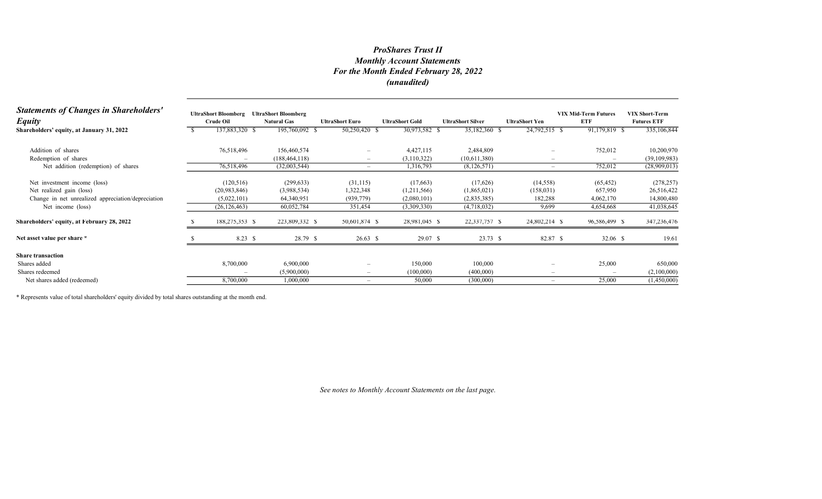| <b>Statements of Changes in Shareholders'</b><br><b>Equity</b> | <b>UltraShort Bloomberg</b><br><b>Crude Oil</b> | <b>UltraShort Bloomberg</b><br><b>Natural Gas</b> | <b>UltraShort Euro</b>          | <b>UltraShort Gold</b> | <b>UltraShort Silver</b> | <b>UltraShort Yen</b> | <b>VIX Mid-Term Futures</b><br><b>ETF</b>     | <b>VIX Short-Term</b><br><b>Futures ETF</b> |
|----------------------------------------------------------------|-------------------------------------------------|---------------------------------------------------|---------------------------------|------------------------|--------------------------|-----------------------|-----------------------------------------------|---------------------------------------------|
| Shareholders' equity, at January 31, 2022                      | 137,883,320 \$                                  | 195,760,092 \$                                    | 50,250,420 \$                   | 30,973,582 \$          | 35,182,360 \$            | 24,792,515 \$         | 91,179,819 \$                                 | 335,106,844                                 |
| Addition of shares                                             | 76,518,496                                      | 156,460,574                                       |                                 | 4,427,115              | 2,484,809                |                       | 752,012<br>$\overline{\phantom{0}}$           | 10,200,970                                  |
| Redemption of shares                                           |                                                 | (188, 464, 118)                                   |                                 | (3,110,322)            | (10,611,380)             |                       | $\qquad \qquad$                               | (39, 109, 983)                              |
| Net addition (redemption) of shares                            | 76,518,496                                      | (32,003,544)                                      | $\hspace{0.1mm}-\hspace{0.1mm}$ | 1,316,793              | (8, 126, 571)            |                       | 752,012<br>$\qquad \qquad -$                  | (28,909,013)                                |
| Net investment income (loss)                                   | (120, 516)                                      | (299, 633)                                        | (31, 115)                       | (17,663)               | (17,626)                 | (14, 558)             | (65, 452)                                     | (278, 257)                                  |
| Net realized gain (loss)                                       | (20,983,846)                                    | (3,988,534)                                       | 1,322,348                       | (1,211,566)            | (1,865,021)              | (158, 031)            | 657,950                                       | 26,516,422                                  |
| Change in net unrealized appreciation/depreciation             | (5,022,101)                                     | 64,340,951                                        | (939, 779)                      | (2,080,101)            | (2,835,385)              | 182,288               | 4,062,170                                     | 14,800,480                                  |
| Net income (loss)                                              | (26, 126, 463)                                  | 60,052,784                                        | 351,454                         | (3,309,330)            | (4,718,032)              | 9,699                 | 4,654,668                                     | 41,038,645                                  |
| Shareholders' equity, at February 28, 2022                     | 188,275,353 \$                                  | 223,809,332 \$                                    | 50,601,874 \$                   | 28,981,045 \$          | 22,337,757 \$            | 24,802,214 \$         | 96,586,499 \$                                 | 347,236,476                                 |
| Net asset value per share *                                    | $8.23$ \$                                       | 28.79 \$                                          | $26.63$ \$                      | 29.07 S                |                          | 23.73 \$<br>82.87 \$  | 32.06 $\sqrt{ }$                              | 19.61                                       |
| <b>Share transaction</b>                                       |                                                 |                                                   |                                 |                        |                          |                       |                                               |                                             |
| Shares added                                                   | 8,700,000                                       | 6,900,000                                         | $\overline{\phantom{a}}$        | 150,000                | 100,000                  |                       | 25,000<br>$\overline{\phantom{0}}$            | 650,000                                     |
| Shares redeemed                                                |                                                 | (5,900,000)                                       | $\overline{\phantom{a}}$        | (100,000)              | (400,000)                |                       | $\qquad \qquad -$<br>$\overline{\phantom{a}}$ | (2,100,000)                                 |
| Net shares added (redeemed)                                    | 8,700,000                                       | 1,000,000                                         | $\overline{\phantom{a}}$        | 50,000                 | (300,000)                |                       | 25,000                                        | (1,450,000)                                 |

\* Represents value of total shareholders' equity divided by total shares outstanding at the month end.